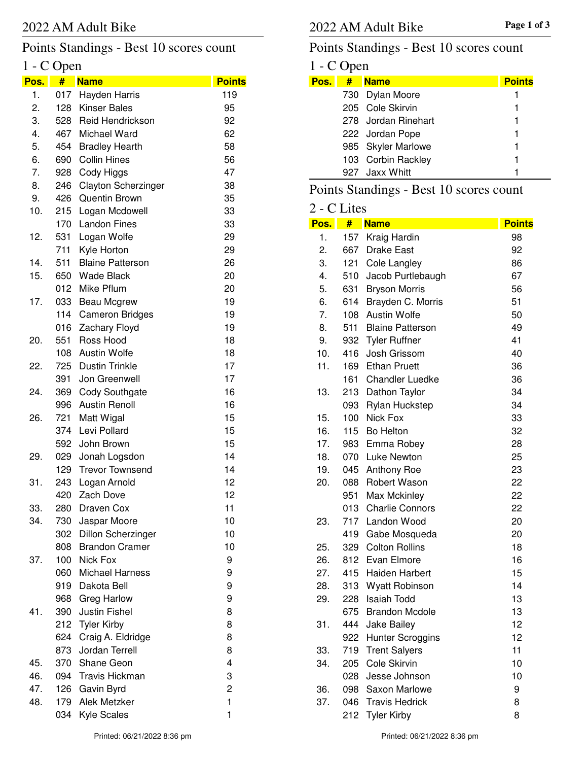# Points Standings - Best 10 scores count

# 1 - C Open

| Pos. | ш<br>#     | <b>Name</b>                                        | <b>Points</b> |
|------|------------|----------------------------------------------------|---------------|
| 1.   | 017        | Hayden Harris                                      | 119           |
| 2.   | 128        | <b>Kinser Bales</b>                                | 95            |
| 3.   | 528        | Reid Hendrickson                                   | 92            |
| 4.   | 467        | <b>Michael Ward</b>                                | 62            |
| 5.   | 454        | <b>Bradley Hearth</b>                              | 58            |
| 6.   | 690        | <b>Collin Hines</b>                                | 56            |
| 7.   | 928        | Cody Higgs                                         | 47            |
| 8.   | 246        | <b>Clayton Scherzinger</b>                         | 38            |
| 9.   | 426        | <b>Quentin Brown</b>                               | 35            |
| 10.  | 215        | Logan Mcdowell                                     | 33            |
|      | 170        | <b>Landon Fines</b>                                | 33            |
| 12.  | 531        | Logan Wolfe                                        | 29            |
|      | 711        | Kyle Horton                                        | 29            |
| 14.  | 511        | <b>Blaine Patterson</b>                            | 26            |
| 15.  | 650        | <b>Wade Black</b>                                  | 20            |
|      | 012        | Mike Pflum                                         | 20            |
| 17.  | 033        | <b>Beau Mcgrew</b>                                 | 19            |
|      | 114        | <b>Cameron Bridges</b>                             | 19            |
|      | 016        | Zachary Floyd                                      | 19            |
| 20.  | 551        | Ross Hood                                          | 18            |
|      | 108        | <b>Austin Wolfe</b>                                | 18            |
| 22.  | 725        | <b>Dustin Trinkle</b>                              | 17            |
|      | 391        | Jon Greenwell                                      | 17            |
| 24.  | 369        | <b>Cody Southgate</b>                              | 16            |
|      | 996        | <b>Austin Renoll</b>                               | 16            |
| 26.  | 721        | Matt Wigal                                         | 15            |
|      | 374        | Levi Pollard                                       | 15            |
|      | 592        | John Brown                                         | 15            |
| 29.  | 029        | Jonah Logsdon                                      | 14            |
|      | 129        | <b>Trevor Townsend</b>                             | 14            |
| 31.  | 243        | Logan Arnold                                       | 12            |
|      | 420        | Zach Dove                                          | 12            |
| 33.  | 280        | Draven Cox                                         | 11            |
| 34.  | 730        | Jaspar Moore                                       | 10            |
|      | 302<br>808 | <b>Dillon Scherzinger</b><br><b>Brandon Cramer</b> | 10<br>10      |
| 37.  | 100        | Nick Fox                                           | 9             |
|      | 060        | <b>Michael Harness</b>                             | 9             |
|      | 919        | Dakota Bell                                        | 9             |
|      | 968        | <b>Greg Harlow</b>                                 | 9             |
| 41.  | 390        | <b>Justin Fishel</b>                               | 8             |
|      | 212        | <b>Tyler Kirby</b>                                 | 8             |
|      | 624        | Craig A. Eldridge                                  | 8             |
|      | 873        | Jordan Terrell                                     | 8             |
| 45.  | 370        | Shane Geon                                         | 4             |
| 46.  | 094        | <b>Travis Hickman</b>                              | 3             |
| 47.  | 126        | Gavin Byrd                                         | 2             |
| 48.  | 179        | Alek Metzker                                       | $\mathbf{1}$  |
|      | 034        | Kyle Scales                                        | 1             |
|      |            |                                                    |               |

# Points Standings - Best 10 scores count

# $1 - C$  Open<br>Pos.  $\frac{4}{5}$  N

| Pos. | # Name              | <b>Points</b> |
|------|---------------------|---------------|
|      | 730 Dylan Moore     |               |
|      | 205 Cole Skirvin    |               |
|      | 278 Jordan Rinehart |               |
|      | 222 Jordan Pope     | 1             |
|      | 985 Skyler Marlowe  |               |
|      | 103 Corbin Rackley  |               |
|      | 927 Jaxx Whitt      |               |

# Points Standings - Best 10 scores count

#### 2 - C Lites

| Pos. | #   | <b>Name</b>             | <b>Points</b> |
|------|-----|-------------------------|---------------|
| 1.   |     | 157 Kraig Hardin        | 98            |
| 2.   |     | 667 Drake East          | 92            |
| 3.   | 121 | Cole Langley            | 86            |
| 4.   | 510 | Jacob Purtlebaugh       | 67            |
| 5.   | 631 | <b>Bryson Morris</b>    | 56            |
| 6.   | 614 | Brayden C. Morris       | 51            |
| 7.   | 108 | <b>Austin Wolfe</b>     | 50            |
| 8.   | 511 | <b>Blaine Patterson</b> | 49            |
| 9.   | 932 | <b>Tyler Ruffner</b>    | 41            |
| 10.  | 416 | Josh Grissom            | 40            |
| 11.  |     | 169 Ethan Pruett        | 36            |
|      | 161 | <b>Chandler Luedke</b>  | 36            |
| 13.  | 213 | Dathon Taylor           | 34            |
|      | 093 | Rylan Huckstep          | 34            |
| 15.  | 100 | Nick Fox                | 33            |
| 16.  |     | 115 Bo Helton           | 32            |
| 17.  |     | 983 Emma Robey          | 28            |
| 18.  |     | 070 Luke Newton         | 25            |
| 19.  | 045 | <b>Anthony Roe</b>      | 23            |
| 20.  | 088 | Robert Wason            | 22            |
|      | 951 | Max Mckinley            | 22            |
|      | 013 | <b>Charlie Connors</b>  | 22            |
| 23.  |     | 717 Landon Wood         | 20            |
|      | 419 | Gabe Mosqueda           | 20            |
| 25.  | 329 | <b>Colton Rollins</b>   | 18            |
| 26.  |     | 812 Evan Elmore         | 16            |
| 27.  |     | 415 Haiden Harbert      | 15            |
| 28.  | 313 | Wyatt Robinson          | 14            |
| 29.  | 228 | <b>Isaiah Todd</b>      | 13            |
|      | 675 | <b>Brandon Mcdole</b>   | 13            |
| 31.  |     | 444 Jake Bailey         | 12            |
|      | 922 | <b>Hunter Scroggins</b> | 12            |
| 33.  | 719 | <b>Trent Salyers</b>    | 11            |
| 34.  | 205 | Cole Skirvin            | 10            |
|      | 028 | Jesse Johnson           | 10            |
| 36.  | 098 | Saxon Marlowe           | 9             |
| 37.  | 046 | <b>Travis Hedrick</b>   | 8             |
|      | 212 | <b>Tyler Kirby</b>      | 8             |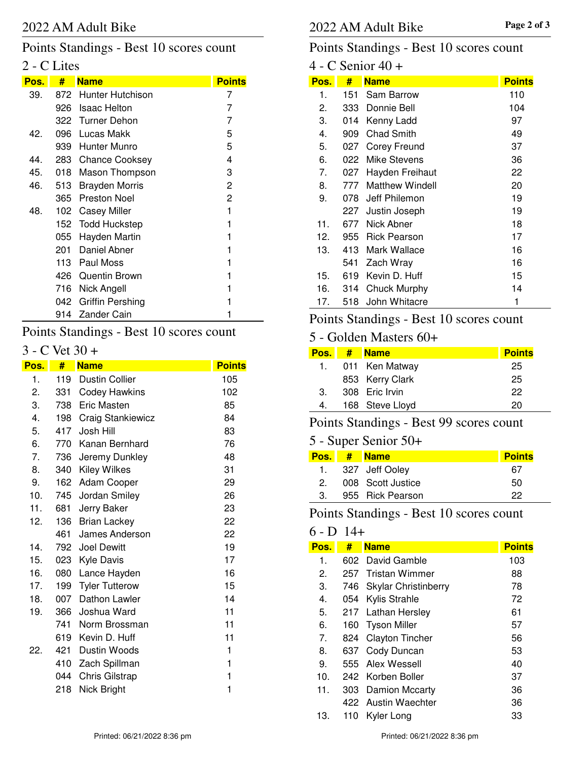### Points Standings - Best 10 scores count

# 2 - C Lites

| Pos. | #     | <b>Name</b>             | <b>Points</b> |
|------|-------|-------------------------|---------------|
| 39.  |       | 872 Hunter Hutchison    | 7             |
|      | 926   | <b>Isaac Helton</b>     | 7             |
|      |       | 322 Turner Dehon        | 7             |
| 42.  | 096 - | Lucas Makk              | 5             |
|      | 939   | <b>Hunter Munro</b>     | 5             |
| 44.  |       | 283 Chance Cooksey      | 4             |
| 45.  | 018   | Mason Thompson          | 3             |
| 46.  | 513   | <b>Brayden Morris</b>   | 2             |
|      | 365   | <b>Preston Noel</b>     | 2             |
| 48.  | 102   | <b>Casey Miller</b>     | 1             |
|      | 152   | <b>Todd Huckstep</b>    | 1             |
|      | 055   | Hayden Martin           | 1             |
|      | 201   | Daniel Abner            | 1             |
|      |       | 113 Paul Moss           |               |
|      |       | 426 Quentin Brown       |               |
|      | 716 - | Nick Angell             |               |
|      | 042   | <b>Griffin Pershing</b> |               |
|      | 914   | Zander Cain             |               |

# Points Standings - Best 10 scores count

#### 3 - C Vet 30 +

| Pos. | #   | <b>Name</b>              | <b>Points</b> |
|------|-----|--------------------------|---------------|
| 1.   | 119 | <b>Dustin Collier</b>    | 105           |
| 2.   | 331 | <b>Codey Hawkins</b>     | 102           |
| 3.   | 738 | <b>Eric Masten</b>       | 85            |
| 4.   | 198 | <b>Craig Stankiewicz</b> | 84            |
| 5.   | 417 | Josh Hill                | 83            |
| 6.   | 770 | Kanan Bernhard           | 76            |
| 7.   | 736 | Jeremy Dunkley           | 48            |
| 8.   | 340 | <b>Kiley Wilkes</b>      | 31            |
| 9.   | 162 | Adam Cooper              | 29            |
| 10.  | 745 | Jordan Smiley            | 26            |
| 11.  | 681 | Jerry Baker              | 23            |
| 12.  | 136 | <b>Brian Lackey</b>      | 22            |
|      | 461 | James Anderson           | 22            |
| 14.  | 792 | <b>Joel Dewitt</b>       | 19            |
| 15.  | 023 | <b>Kyle Davis</b>        | 17            |
| 16.  | 080 | Lance Hayden             | 16            |
| 17.  | 199 | <b>Tyler Tutterow</b>    | 15            |
| 18.  | 007 | Dathon Lawler            | 14            |
| 19.  | 366 | Joshua Ward              | 11            |
|      | 741 | Norm Brossman            | 11            |
|      | 619 | Kevin D. Huff            | 11            |
| 22.  | 421 | Dustin Woods             | 1             |
|      | 410 | Zach Spillman            | 1             |
|      | 044 | <b>Chris Gilstrap</b>    | 1             |
|      | 218 | Nick Bright              | 1             |

### Points Standings - Best 10 scores count

#### 4 - C Senior 40 +

| Pos. | #   | <b>Name</b>         | <b>Points</b> |
|------|-----|---------------------|---------------|
| 1.   | 151 | Sam Barrow          | 110           |
| 2.   | 333 | Donnie Bell         | 104           |
| З.   | 014 | Kenny Ladd          | 97            |
| 4.   | 909 | Chad Smith          | 49            |
| 5.   | 027 | Corey Freund        | 37            |
| 6.   | 022 | Mike Stevens        | 36            |
| 7.   | 027 | Hayden Freihaut     | 22            |
| 8.   | 777 | Matthew Windell     | 20            |
| 9.   | 078 | Jeff Philemon       | 19            |
|      | 227 | Justin Joseph       | 19            |
| 11.  | 677 | Nick Abner          | 18            |
| 12.  | 955 | <b>Rick Pearson</b> | 17            |
| 13.  | 413 | Mark Wallace        | 16            |
|      | 541 | Zach Wray           | 16            |
| 15.  | 619 | Kevin D. Huff       | 15            |
| 16.  | 314 | <b>Chuck Murphy</b> | 14            |
| 17.  | 518 | John Whitacre       | 1             |

# Points Standings - Best 10 scores count

#### 5 - Golden Masters 60+

| Pos. I | -# | <b>Name</b>     | <b>Points</b> |
|--------|----|-----------------|---------------|
| 1.     |    | 011 Ken Matway  | 25            |
|        |    | 853 Kerry Clark | 25            |
| 3.     |    | 308 Eric Irvin  | 22            |
| 4.     |    | 168 Steve Lloyd | 20            |

#### Points Standings - Best 99 scores count

#### 5 - Super Senior 50+

|     | Pos. # Name       | <b>Points</b> |
|-----|-------------------|---------------|
|     | 1. 327 Jeff Ooley | 67            |
| 2   | 008 Scott Justice | 50            |
| -3. | 955 Rick Pearson  | 22            |
|     |                   |               |

Points Standings - Best 10 scores count

#### $6 - D$  14+

| Pos. | #     | <b>Name</b>                 | <b>Points</b> |
|------|-------|-----------------------------|---------------|
| 1.   |       | 602 David Gamble            | 103           |
| 2.   | 257   | <b>Tristan Wimmer</b>       | 88            |
| 3.   | 746 - | <b>Skylar Christinberry</b> | 78            |
| 4.   | 054   | <b>Kylis Strahle</b>        | 72            |
| 5.   | 217   | Lathan Hersley              | 61            |
| 6.   | 160   | Tyson Miller                | 57            |
| 7.   | 824.  | <b>Clayton Tincher</b>      | 56            |
| 8.   | 637   | Cody Duncan                 | 53            |
| 9.   |       | 555 Alex Wessell            | 40            |
| 10.  |       | 242 Korben Boller           | 37            |
| 11.  | 303   | Damion Mccarty              | 36            |
|      |       | 422 Austin Waechter         | 36            |
| 13.  | 110   | Kyler Long                  | 33            |